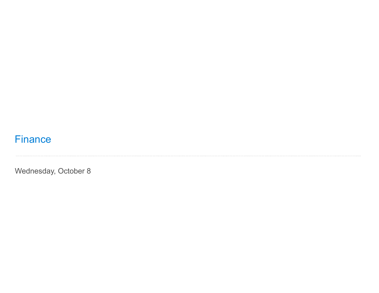# **Finance**

Wednesday, October 8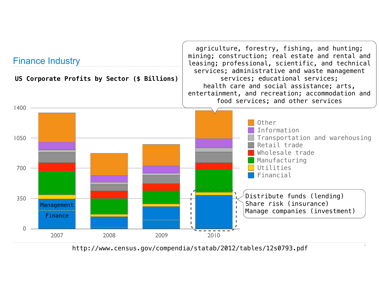

http://www.census.gov/compendia/statab/2012/tables/12s0793.pdf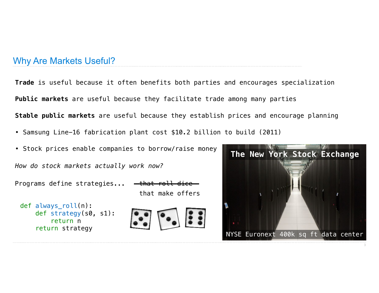## Why Are Markets Useful?

**Trade** is useful because it often benefits both parties and encourages specialization **Public markets** are useful because they facilitate trade among many parties **Stable public markets** are useful because they establish prices and encourage planning

- Samsung Line-16 fabrication plant cost \$10.2 billion to build (2011)
- Stock prices enable companies to borrow/raise money

*How do stock markets actually work now?*

Programs define strategies...

def always roll(n): def strategy(s0, s1): return n return strategy







3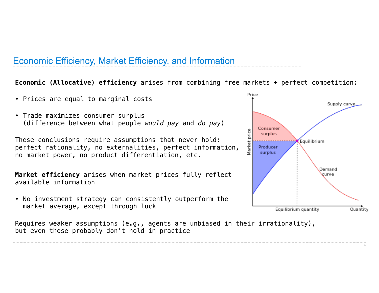## Economic Efficiency, Market Efficiency, and Information

#### **Economic (Allocative) efficiency** arises from combining free markets + perfect competition:

- Prices are equal to marginal costs
- Trade maximizes consumer surplus (difference between what people *would pay* and *do pay*)

These conclusions require assumptions that never hold: perfect rationality, no externalities, perfect information, no market power, no product differentiation, etc.

**Market efficiency** arises when market prices fully reflect available information

• No investment strategy can consistently outperform the market average, except through luck

Requires weaker assumptions (e.g., agents are unbiased in their irrationality), but even those probably don't hold in practice



4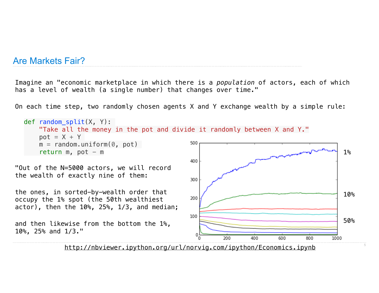### Are Markets Fair?

Imagine an "economic marketplace in which there is a *population* of actors, each of which has a level of wealth (a single number) that changes over time."

On each time step, two randomly chosen agents X and Y exchange wealth by a simple rule:



http://nbviewer.ipython.org/url/norvig.com/ipython/Economics.ipynb